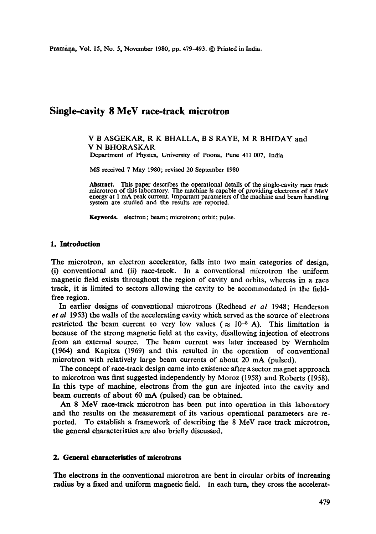# **Single-cavity 8 MeV race-track microtron**

#### V B ASGEKAR, R K BHALLA, B S RAYE, M R BHIDAY and V N BHORASKAR Department of Physics, University of Poona, Pune 411 007, India

MS received 7 May 1980; revised 20 September 1980

Abstract. This paper describes the operational details of the single-cavity race track microtron of this laboratory. The machine is capable of providing electrons of 8 MeV energy at 1 mA peak current. Important parameters of the machine and beam handling system are studied and the results are reported.

**Keywords.** electron; beam; microtron; orbit; pulse.

#### **1. Introduction**

The mierotron, an electron accelerator, falls into two main categories of design, (i) conventional and (ii) race-track. In a conventional microtron the uniform magnetic field exists throughout the region of cavity and orbits, whereas in a race track, it is limited to sectors allowing the cavity to be accommodated in the fieldfree region.

In earlier designs of conventional microtrons (Redhead *et al* 1948; Henderson *et al* 1953) the wails of the accelerating cavity which served as the source of electrons restricted the beam current to very low values ( $\approx 10^{-8}$  A). This limitation is because of the strong magnetic field at the cavity, disallowing injection of electrons from an external source. The beam current was later increased by Wernholm (1964) and Kapitza (1969) and this resulted in the operation of conventional microtron with relatively large beam currents of about 20 mA (pulsed).

The concept of race-track design came into existence after a sector magnet approach to microtron was first suggested independently by Moroz (1958) and Roberts (1958). In this type of machine, electrons from the gun are injected into the cavity and beam currents of about 60 mA (pulsed) can be obtained.

An 8 MeV race-track microtron has been put into operation in this laboratory and the results on the measurement of its various operational parameters are reported. To establish a framework of describing the 8 MeV race track microtron, the general characteristics are also briefly discussed.

#### **2. General characteristics of microtrons**

**The** electrons in the conventional microtron are bent in circular orbits of increasing radius by a fixed and uniform magnetic field. In each turn, they cross the accclerat-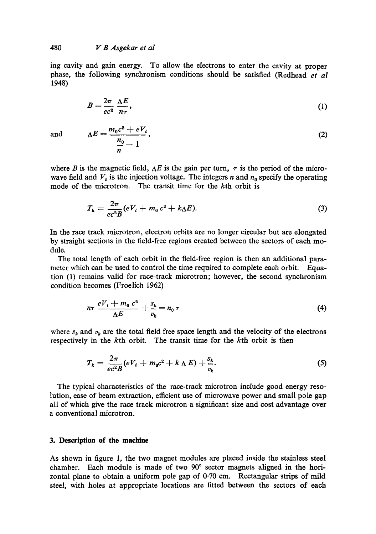# 480 *V B Asgekar et al*

ing cavity and gain energy. To allow the electrons to enter the cavity at proper phase, the following synchronism conditions should be satisfied (Redhead *et al*  1948)

$$
B = \frac{2\pi}{ec^2} \frac{\Delta E}{n\tau},\tag{1}
$$

and 
$$
\Delta E = \frac{m_0 c^2 + eV_i}{\frac{n_0}{n} - 1},
$$
 (2)

where B is the magnetic field,  $\Delta E$  is the gain per turn,  $\tau$  is the period of the microwave field and  $V_i$  is the injection voltage. The integers n and  $n_0$  specify the operating mode of the microtron. The transit time for the kth orbit is

$$
T_k = \frac{2\pi}{ec^2B} (eV_t + m_0 c^2 + k\Delta E). \tag{3}
$$

In the race track microtron, electron orbits are no longer circular but are elongated by straight sections in the field-free regions created between the sectors of each module.

The total length of each orbit in the field-free region is then an additional parameter which can be used to control the time required to complete each orbit. Equation (1) remains valid for race-track microtron; however, the second synchronism condition becomes (Froelich 1962)

$$
n\tau \frac{eV_t + m_0 c^2}{\Delta E} + \frac{s_k}{v_k} = n_0 \tau \tag{4}
$$

where  $s_k$  and  $v_k$  are the total field free space length and the velocity of the electrons respectively in the kth orbit. The transit time for the kth orbit is then

$$
T_k = \frac{2\pi}{ec^2 B} (eV_t + m_0 c^2 + k \Delta E) + \frac{s_k}{v_k}.
$$
 (5)

The typical characteristics of the race-track microtron include good energy resolution, ease of beam extraction, efficient use of microwave power and small pole gap all of which give the race track microtron a significant size and cost advantage over a conventional microtron.

#### **3. Description of the machine**

As shown in figure 1, the two magnet modules are placed inside the stainless steel chamber. Each module is made of two  $90^{\circ}$  sector magnets aligned in the horizontal plane to obtain a uniform pole gap of  $0.70$  cm. Rectangular strips of mild steel, with holes at appropriate locations are fitted between the sectors of each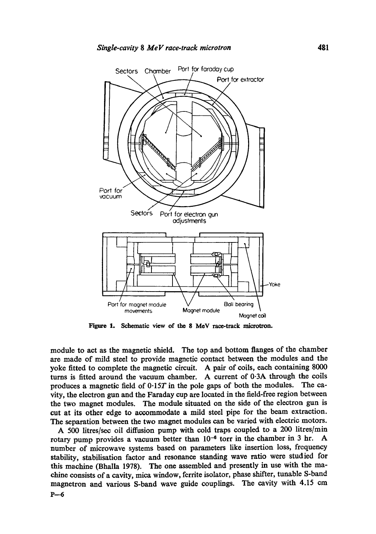

Figure 1. Schematic **view of the 8 MeV** race-track microtron.

module to act as the magnetic shield. The top and bottom flanges of the chamber are made of mild steel to provide magnetic contact between the modules and the yoke fitted to complete the magnetic circuit. A pair of coils, each containing 8000 turns is fitted around the vacuum chamber. A current of 0.3A through the coils produces a magnetic field of 0-1ST in the pole gaps of both the modules. The cavity, the electron gun and the Faraday cup are located in the field-free region between the two magnet modules. The module situated on the side of the electron gun is cut at its other edge to accommodate a mild steel pipe for the beam extraction. The separation between the two magnet modules can be varied with electric motors.

A 500 litres/sec oil diffusion pump with cold traps coupled to a 200 litres/min rotary pump provides a vacuum better than  $10^{-6}$  torr in the chamber in 3 hr. A number of microwave systems based on parameters like insertion loss, frequency stability, stabilisation factor and resonance standing wave ratio were studied for this machine (Bhalla 1978). The one assembled and presently in use with the machine consists of a cavity, mica window, ferrite isolator, phase shifter, tunable S-band magnetron and various S-band wave guide couplings. The cavity with 4.15 cm  $P-6$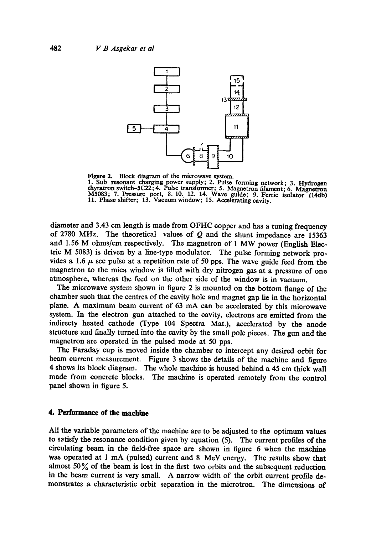

Figure 2. Block diagram of the microwave system.

1. Sub resonant charging power supply; 2. Pulse forming network; 3. Hydrogen thyratron switch-SC22; 4. Pulse transformer; 5. Magnetron filament; 6. Magnetron M5083; 7. Pressure port, 8. 10. 12. 14. Wave guide; 9. Ferric isolator (14db) 11. Phase shifter; 13. Vacuum window; 15. Accelerating cavity.

diameter and 3.43 cm length is made from OFHC copper and has a tuning frequency of 2780 MHz. The theoretical values of  $Q$  and the shunt impedance are 15363 and 1.56 M ohms/cm respectively. The magnetron of 1 MW power (English Electric M 5083) is driven by a line-type modulator. The pulse forming network provides a 1.6  $\mu$  sec pulse at a repetition rate of 50 pps. The wave guide feed from the magnetron to the mica window is filled with dry nitrogen gas at a pressure of one atmosphere, whereas the feed on the other side of the window is in vacuum.

The microwave system shown in figure 2 is mounted on the bottom flange of the chamber such that the centres of the cavity hole and magnet gap lie in the horizontal plane. A maximum beam current of 63 mA can be accelerated by this microwave system. In the electron gun attached to the cavity, electrons are emitted from the indirecty heated cathode (Type 104 Spectra Mat.), accelerated by the anode structure and finally turned into the cavity by the small pole pieces. The gun and the magnetron are operated in the pulsed mode at 50 pps.

The Faraday cup is moved inside the chamber to intercept any desired orbit for beam current measurement. Figure 3 shows the details of the machine and figure 4 shows its block diagram. The whole machine is housed behind a 45 cm thick wall made from concrete blocks. The machine is operated remotely from the control panel shown in figure 5.

# **4. Performance of the machine**

All the variable parameters of the machine are to be adjusted to the optimum values to satisfy the resonance condition given by equation (5). The current profiles of the circulating beam in the field-free space are shown in figure 6 when the machine was operated at 1 mA (pulsed) current and 8 MeV energy. The results show that almost  $50\%$  of the beam is lost in the first two orbits and the subsequent reduction in the beam current is very small. A narrow width of the orbit current profile demonstrates a characteristic orbit separation in the microtron. The dimensions of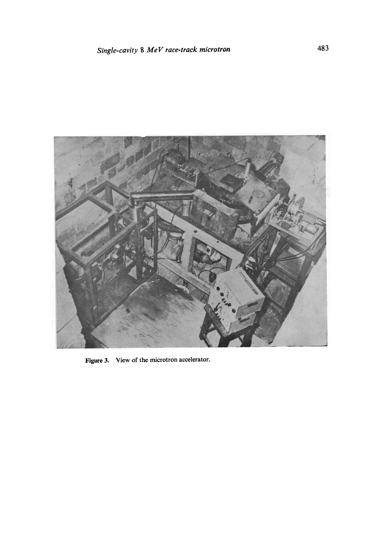

Figure 3. View of the microtron accelerator.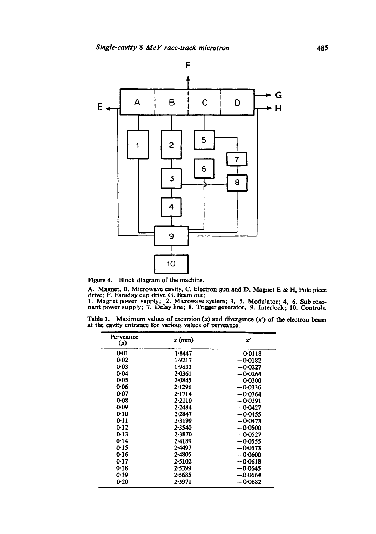

Figure 4. Block diagram of the machine.

A. Magnet, B. Microwave cavity, C. Electron gun and D. Magnet E & H, Pole piece drive; F. Faraday cup drive G. Beam out;

1. Magnet power supply; 2. Microwave system; 3, 5. Modulator; 4, 6. Sub resonant power supply; 7. Delay line; 8. Trigger generator, 9. Interlock; 10. Controls.

Table 1. Maximum values of excursion  $(x)$  and divergence  $(x')$  of the electron beam at the cavity entrance for various values of perveance.

| Perveance<br>$(\mu)$ | $x$ (mm)   | x         |
|----------------------|------------|-----------|
| 0.01                 | 1.8447     | $-0.0118$ |
| 0-02                 | 1.9217     | $-0.0182$ |
| $0 - 03$             | 1.9833     | $-0.0227$ |
| $0 - 04$             | 2.0361     | $-0.0264$ |
| 0.05                 | 2.0845     | $-0.0300$ |
| 0.06                 | 2.1296     | $-0.0336$ |
| 0.07                 | 2.1714     | $-0.0364$ |
| 0.08                 | 2.2110     | $-0.0391$ |
| 0.09                 | 2.2484     | $-0.0427$ |
| 0.10                 | 2.2847     | $-0.0455$ |
| 0.11                 | 2.3199     | -0-0473   |
| 0.12                 | 2.3540     | $-0.0500$ |
| 0.13                 | 2.3870     | $-0.0527$ |
| 0.14                 | $2 - 4189$ | $-0.0555$ |
| 0.15                 | 2.4497     | $-0.0573$ |
| 0-16                 | 2.4805     | $-0.0600$ |
| 0-17                 | 2.5102     | $-0.0618$ |
| 0.18                 | 2.5399     | $-0.0645$ |
| 0.19                 | 2.5685     | $-0.0664$ |
| 0.20                 | 2-5971     | $-0.0682$ |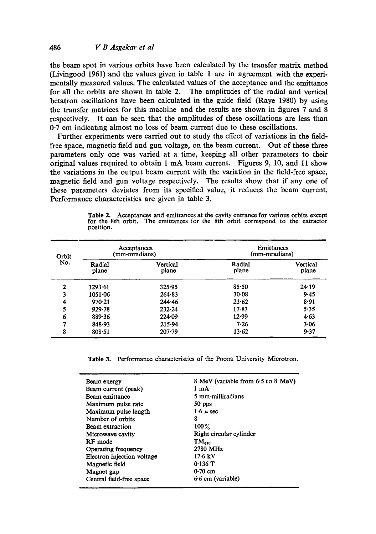### 486 *V B Asgekar et al*

the beam spot in various orbits have been calculated by the transfer matrix method (Livingood 1961) and the values given in table 1 are in agreement with the experimentally measured values. The calculated values of the acceptance and the emittance for all the orbits are shown in table 2. The amplitudes of the radial and vertical betatron oscillations have been calculated in the guide field (Raye 1980) by using the transfer matrices for this machine and the results are shown in figures 7 and 8 respectively. It can be seen that the amplitudes of these oscillations are less than 0-7 cm indicating almost no loss of beam current due to these oscillations.

Further experiments were carried out to study the effect of variations in the fieldfree space, magnetic field and gun voltage, on the beam current. Out of these three parameters only one was varied at a time, keeping all other parameters to their original values required to obtain 1 mA beam current. Figures 9, 10, and 11 show the variations in the output beam current with the variation in the field-free space, magnetic field and gun voltage respectively. The results show that if any one of these parameters deviates from its specified value, it reduces the beam current. Performance characteristics are given in table 3.

| Orbit<br>No.   | Acceptances<br>(mm-mradians) |                   | Emittances<br>(mm-mradians) |                   |
|----------------|------------------------------|-------------------|-----------------------------|-------------------|
|                | Radial<br>plane              | Vertical<br>plane | Radial<br>plane             | Vertical<br>plane |
| $\overline{2}$ | 1293.61                      | 325.95            | 85.50                       | $24 - 19$         |
| 3              | 1051.06                      | 264.83            | 30.08                       | 9.45              |
| 4              | 970.21                       | 244.46            | 23.62                       | 8.91              |
| 5              | 929.78                       | $232 - 24$        | $17 - 83$                   | 5.35              |
| 6              | 889.36                       | 224.09            | 12.99                       | 4.63              |
| 7              | 848.93                       | 215.94            | 7.26                        | 3.06              |
| 8              | $808 - 51$                   | $207 - 79$        | 13.62                       | 9.37              |

**Table** 2. Acceptances and emittances at the cavity entrance for various orbits except for the 8th orbit. The emittances for the 8th orbit correspond to the extractor position.

**Table** 3. Performance characteristics of the Poona University Microtron.

| Beam energy                | 8 MeV (variable from 6.5 to 8 MeV) |
|----------------------------|------------------------------------|
| Beam current (peak)        | 1 mA                               |
| Beam emittance             | 5 mm-milliradians                  |
| Maximum pulse rate         | 50 pps                             |
| Maximum pulse length       | $1.6 \mu$ sec                      |
| Number of orbits           | 8                                  |
| Beam extraction            | $100\%$                            |
| Microwave cavity           | Right circular cylinder            |
| RF mode                    | $TM_{\alpha\alpha}$                |
| Operating frequency        | 2780 MHz                           |
| Electron injection voltage | 17.6 kV                            |
| Magnetic field             | $0.136$ T                          |
| Magnet gap                 | $0.70 \text{ cm}$                  |
| Central field-free space   | $6.6$ cm (variable)                |
|                            |                                    |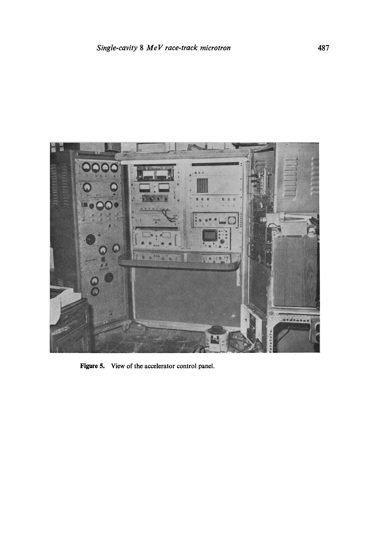

Figure 5. View of the accelerator control panel.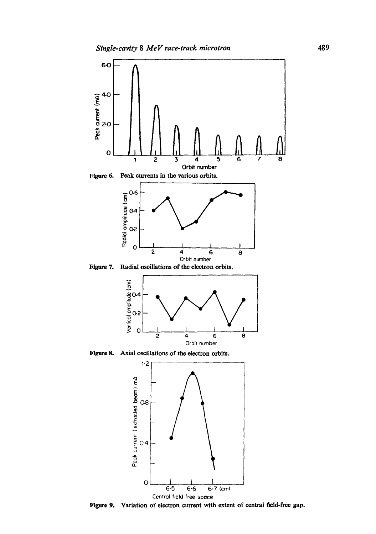

**Figure 7.**  Radial oscillations of the electron orbits.



**Figure 8.**  Axial oscillations of the electron orbits.



**Figure 9.**  Variation of electron current with extent of central field-free gap.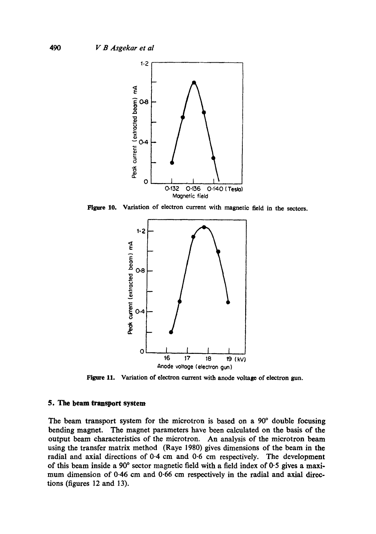

Figare 10. Variation of electron current with magnetic field in the sectors.



Figure 11. Variation of electron current with anode voltage of electron gun.

### **5. The beam transport system**

The beam transport system for the microtron is based on a 90° double focusing bending magnet. The magnet parameters have been calculated on the basis of the output beam characteristics of the microtron. An analysis of the mierotron beam using the transfer matrix method (Raye 1980) gives dimensions of the beam in the radial and axial directions of 0.4 cm and 0.6 cm respectively. The development of this beam inside a  $90^{\circ}$  sector magnetic field with a field index of  $0.5$  gives a maximum dimension of 0-46 cm and 0.66 cm respectively in the radial and axial directions (figures 12 and 13).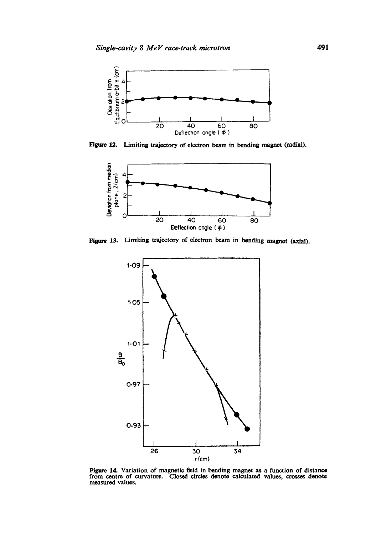

Figure 12. Limiting trajectory of electron beam in bending magnet (radial).



Figure 13. Limiting trajectory of electron beam in bending magnet (axial).



Figure 14. Variation of magnetic field in bending magnet as a function of distance from centre of curvature. Closed circles denote calculated values, crosses denote measured values.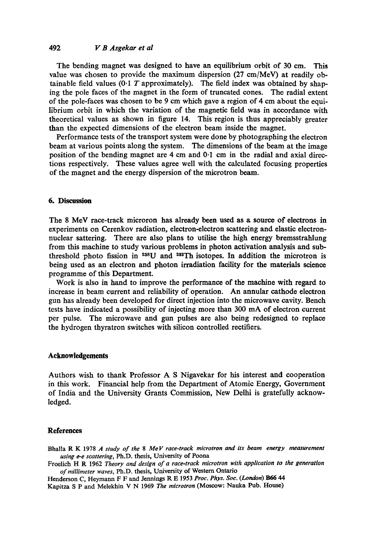# 492 *lx B Asgekar et al*

The bending magnet was designed to have an equilibrium orbit of 30 cm. This value was chosen to provide the maximum dispersion (27 cm/MeV) at readily obtainable field values (0.1 T approximately). The field index was obtained by shaping the pole faces of the magnet in the form of truncated cones. The radial extent of the pole-faces was chosen to be 9 cm which gave a region of 4 cm about the equilibrium orbit in which the variation of the magnetic field was in accordance with theoretical values as shown in figure 14. This region is thus appreciably greater than the expected dimensions of the electron beam inside the magnet.

Performance tests of the transport system were done by photographing the electron beam at various points along the system. The dimensions of the beam at the image position of the bending magnet are 4 cm and 0.1 cm in the radial and axial directions respectively. These values agree well with the calculated focusing properties of the magnet and the energy dispersion of the microtron beam.

# **6. Discussion**

The 8 MeV race-track microron has already been used as a source of electrons in experiments on Cerenkov radiation, electron-electron scattering and elastic electronnuclear sattering. There are also plans to utilise the high energy bremsstrahlung from this machine to study various problems in photon activation analysis and subthreshold photo fission in  $238$ U and  $232$ Th isotopes. In addition the microtron is being used as an electron and photon irradiation facility for the materials science programme of this Department.

Work is also in hand to improve the performance of the machine with regard to increase in beam current and reliability of operation. An annular cathode electron gun has already been developed for direct injection into the microwave cavity. Bench tests have indicated a possibility of injecting more than 300 mA of electron current per pulse. The microwave and gun pulses are also being redesigned to replace the hydrogen thyratron switches with silicon controlled rectifiers.

#### **Acknowledgements**

Authors wish to thank Professor A S Nigavekar for his interest and cooperation in this work. Financial help from the Department of Atomic Energy, Government of India and the University Grants Commission, New Delhi is gratefully acknowledged.

#### **References**

Bhalla R K 1978 A *study of the 8 MeV race-track microtron and its beam energy measurement using e-e scattering,* Ph.D. thesis, University of Poona

Froelich H R 1962 *Theory and design of a race-track microtron with application to the generation of millimeter waves,* Ph.D. thesis, University of Western Ontario

Henderson C, Heymann F F and Jennings R E 1953 Proc. Phys. Soc. (London) B66 44 Kapitza S P and Melekhin V N 1969 *The microtron* (Moscow: Nauka Pub. House)